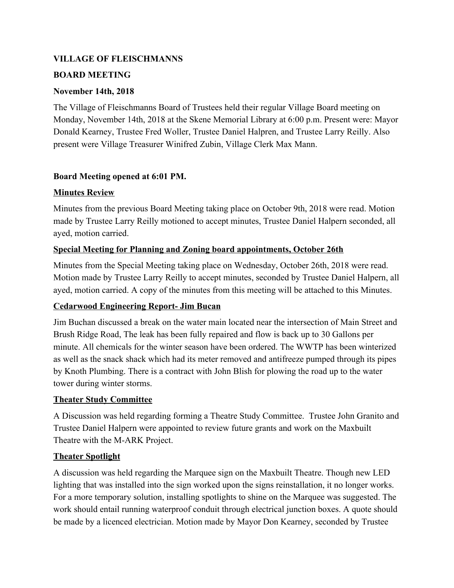#### **VILLAGE OF FLEISCHMANNS**

### **BOARD MEETING**

## **November 14th, 2018**

The Village of Fleischmanns Board of Trustees held their regular Village Board meeting on Monday, November 14th, 2018 at the Skene Memorial Library at 6:00 p.m. Present were: Mayor Donald Kearney, Trustee Fred Woller, Trustee Daniel Halpren, and Trustee Larry Reilly. Also present were Village Treasurer Winifred Zubin, Village Clerk Max Mann.

# **Board Meeting opened at 6:01 PM.**

## **Minutes Review**

Minutes from the previous Board Meeting taking place on October 9th, 2018 were read. Motion made by Trustee Larry Reilly motioned to accept minutes, Trustee Daniel Halpern seconded, all ayed, motion carried.

## **Special Meeting for Planning and Zoning board appointments, October 26th**

Minutes from the Special Meeting taking place on Wednesday, October 26th, 2018 were read. Motion made by Trustee Larry Reilly to accept minutes, seconded by Trustee Daniel Halpern, all ayed, motion carried. A copy of the minutes from this meeting will be attached to this Minutes.

# **Cedarwood Engineering Report- Jim Bucan**

Jim Buchan discussed a break on the water main located near the intersection of Main Street and Brush Ridge Road, The leak has been fully repaired and flow is back up to 30 Gallons per minute. All chemicals for the winter season have been ordered. The WWTP has been winterized as well as the snack shack which had its meter removed and antifreeze pumped through its pipes by Knoth Plumbing. There is a contract with John Blish for plowing the road up to the water tower during winter storms.

#### **Theater Study Committee**

A Discussion was held regarding forming a Theatre Study Committee. Trustee John Granito and Trustee Daniel Halpern were appointed to review future grants and work on the Maxbuilt Theatre with the M-ARK Project.

#### **Theater Spotlight**

A discussion was held regarding the Marquee sign on the Maxbuilt Theatre. Though new LED lighting that was installed into the sign worked upon the signs reinstallation, it no longer works. For a more temporary solution, installing spotlights to shine on the Marquee was suggested. The work should entail running waterproof conduit through electrical junction boxes. A quote should be made by a licenced electrician. Motion made by Mayor Don Kearney, seconded by Trustee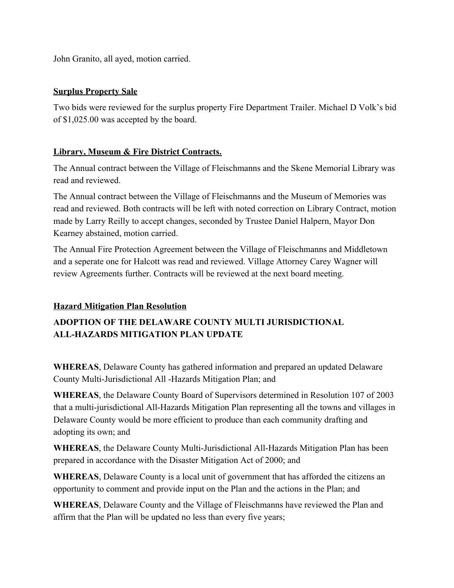John Granito, all ayed, motion carried.

## **Surplus Property Sale**

Two bids were reviewed for the surplus property Fire Department Trailer. Michael D Volk's bid of \$1,025.00 was accepted by the board.

# **Library, Museum & Fire District Contracts.**

The Annual contract between the Village of Fleischmanns and the Skene Memorial Library was read and reviewed.

The Annual contract between the Village of Fleischmanns and the Museum of Memories was read and reviewed. Both contracts will be left with noted correction on Library Contract, motion made by Larry Reilly to accept changes, seconded by Trustee Daniel Halpern, Mayor Don Kearney abstained, motion carried.

The Annual Fire Protection Agreement between the Village of Fleischmanns and Middletown and a seperate one for Halcott was read and reviewed. Village Attorney Carey Wagner will review Agreements further. Contracts will be reviewed at the next board meeting.

# **Hazard Mitigation Plan Resolution**

# **ADOPTION OF THE DELAWARE COUNTY MULTI JURISDICTIONAL ALL-HAZARDS MITIGATION PLAN UPDATE**

**WHEREAS**, Delaware County has gathered information and prepared an updated Delaware County Multi-Jurisdictional All -Hazards Mitigation Plan; and

**WHEREAS**, the Delaware County Board of Supervisors determined in Resolution 107 of 2003 that a multi-jurisdictional All-Hazards Mitigation Plan representing all the towns and villages in Delaware County would be more efficient to produce than each community drafting and adopting its own; and

**WHEREAS**, the Delaware County Multi-Jurisdictional All-Hazards Mitigation Plan has been prepared in accordance with the Disaster Mitigation Act of 2000; and

**WHEREAS**, Delaware County is a local unit of government that has afforded the citizens an opportunity to comment and provide input on the Plan and the actions in the Plan; and

**WHEREAS**, Delaware County and the Village of Fleischmanns have reviewed the Plan and affirm that the Plan will be updated no less than every five years;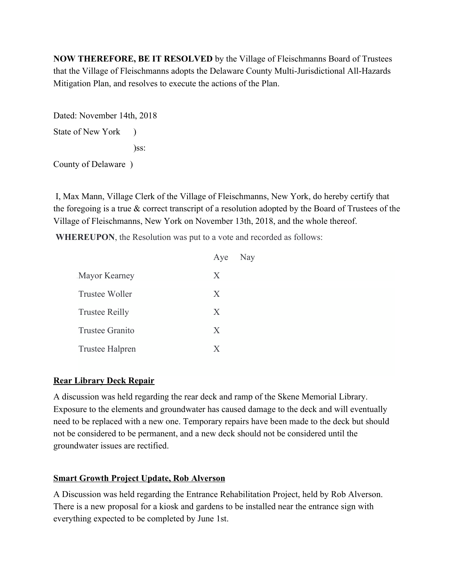**NOW THEREFORE, BE IT RESOLVED** by the Village of Fleischmanns Board of Trustees that the Village of Fleischmanns adopts the Delaware County Multi-Jurisdictional All-Hazards Mitigation Plan, and resolves to execute the actions of the Plan.

Dated: November 14th, 2018 State of New York )  $\Sigma$ 

County of Delaware )

 I, Max Mann, Village Clerk of the Village of Fleischmanns, New York, do hereby certify that the foregoing is a true  $\&$  correct transcript of a resolution adopted by the Board of Trustees of the Village of Fleischmanns, New York on November 13th, 2018, and the whole thereof.

**WHEREUPON**, the Resolution was put to a vote and recorded as follows:

|                       | Aye | Nay |
|-----------------------|-----|-----|
| Mayor Kearney         | X   |     |
| Trustee Woller        | X   |     |
| <b>Trustee Reilly</b> | X   |     |
| Trustee Granito       | X   |     |
| Trustee Halpren       | X   |     |

#### **Rear Library Deck Repair**

A discussion was held regarding the rear deck and ramp of the Skene Memorial Library. Exposure to the elements and groundwater has caused damage to the deck and will eventually need to be replaced with a new one. Temporary repairs have been made to the deck but should not be considered to be permanent, and a new deck should not be considered until the groundwater issues are rectified.

# **Smart Growth Project Update, Rob Alverson**

A Discussion was held regarding the Entrance Rehabilitation Project, held by Rob Alverson. There is a new proposal for a kiosk and gardens to be installed near the entrance sign with everything expected to be completed by June 1st.